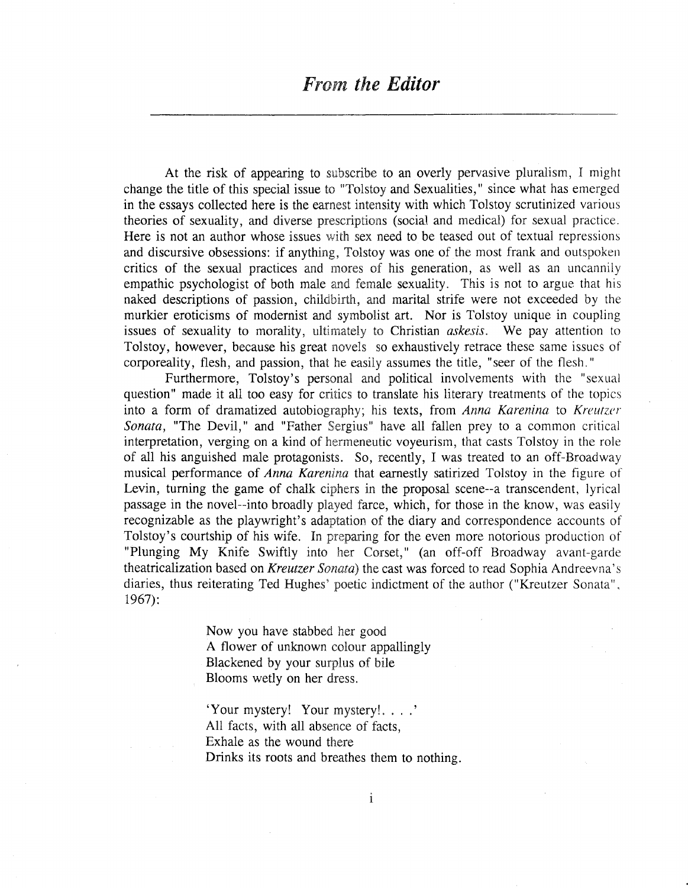At the risk of appearing to subscribe to an overly pervasive pluralism, I might change the title of this special issue to "Tolstoy and Sexualities," since what has emerged in the essays collected here is the earnest intensity with which Tolstoy scrutinized various theories of sexuality, and diverse prescriptions (social and medical) for sexual practice. Here is not an author whose issues with sex need to be teased out of textual repressions and discursive obsessions: if anything, Tolstoy was one of the most frank and outspoken critics of the sexual practices and mores of his generation, as well as an uncannily empathic psychologist of both male and female sexuality. This is not to argue that his naked descriptions of passion, childbirth, and marital strife were not exceeded by the murkier eroticisms of modernist and symbolist art. Nor is Tolstoy unique in coupling issues of sexuality to morality, ultimately to Christian *askesis*. We pay attention to Tolstoy, however, because his great novels so exhaustively retrace these same issues of corporeality, flesh, and passion, that he easily assumes the title, "seer of the flesh."

Furthermore, Tolstoy's personal and political involvements with the "sexual question" made it all too easy for critics to translate his literary treatments of the topics into a form of dramatized autobiography; his texts, from *Anna Karenina* to *Kreutzer Sonata*, "The Devil," and "Father Sergius" have all fallen prey to a common critical interpretation, verging on a kind of hermeneutic voyeurism, that casts Tolstoy in the role of all his anguished male protagonists. So, recently, I was treated to an off-Broadway musical performance of Anna Karenina that earnestly satirized Tolstoy in the figure of Levin, turning the game of chalk ciphers in the proposal scene--a transcendent, lyrical passage in the novel--into broadly played farce, which, for those in the know, was easily recognizable as the playwright's adaptation of the diary and correspondence accounts of Tolstoy's courtship of his wife. In preparing for the even more notorious production of "Plunging My Knife Swiftly into her Corset," (an off-off Broadway avant-garde theatricalization based on *Kreutzer Sonata*) the cast was forced to read Sophia Andreevna's diaries, thus reiterating Ted Hughes' poetic indictment of the author ("Kreutzer Sonata", 1967):

> Now you have stabbed her good A flower of unknown colour appallingly Blackened by your surplus of bile Blooms wetly on her

'Your mystery! Your All facts, with all absence of facts, Exhale as the wound Drinks its roots and breathes them to nothing.

1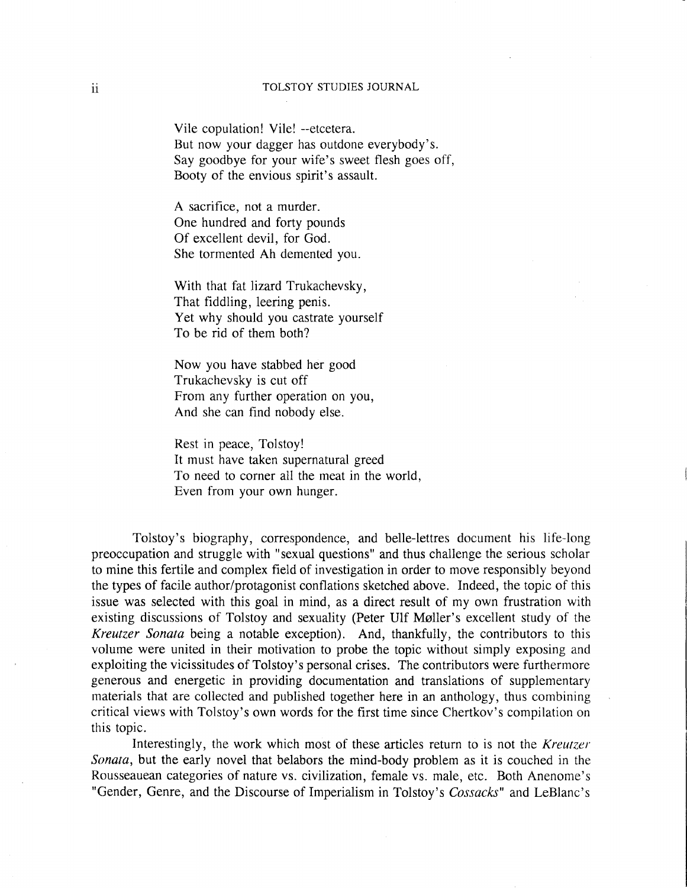## ii TOLSTOY STUDIES JOURNAL

Vile copulation! Vile! --etcetera. But now your dagger has outdone everybody's. Say goodbye for your wife's sweet flesh goes off, Booty of the envious spirit's assault.

A sacrifice, not a murder. One hundred and forty pounds Of excellent devil, for God. She tormented Ah demented you.

With that fat lizard Trukachevsky, That fiddling, leering penis. Yet why should you castrate yourself To be rid of them both?

Now you have stabbed her good Trukachevsky is cut off From any further operation on you, And she can find nobody else.

Rest in peace, Tolstoy! It must have taken supernatural greed To need to corner all the meat in the world, Even from your own hunger.

Tolstoy's biography, correspondence, and belle-Iettres document his life-long preoccupation and struggle with "sexual questions" and thus challenge the serious scholar to mine this fertile and complex field of investigation in order to move responsibly beyond the types of facile author/protagonist conflations sketched above. Indeed, the topic of this issue was selected with this goal in mind, as a direct result of my own frustration with existing discussions of Tolstoy and sexuality (Peter Ulf Møller's excellent study of the *Kreutzer* Sonata being a notable exception). And, thankfully, the contributors to this volume were united in their motivation to probe the topic without simply exposing and exploiting the vicissitudes of Tolstoy's personal crises. The contributors were furthermore generous and energetic in providing documentation and translations of supplementary materials that are collected and published together here in an anthology, thus combining critical views with Tolstoy's own words for the first time since Chertkov's compilation on this topic.

Interestingly, the work which most of these articles return to is not the *Kreutzer* Sonata, but the early novel that belabors the mind-body problem as it is couched in the Rousseauean categories of nature vs. civilization, female vs. male, etc. Both Anenome's "Gender, Genre, and the Discourse of Imperialism in Tolstoy's Cossacks" and LeBlanc's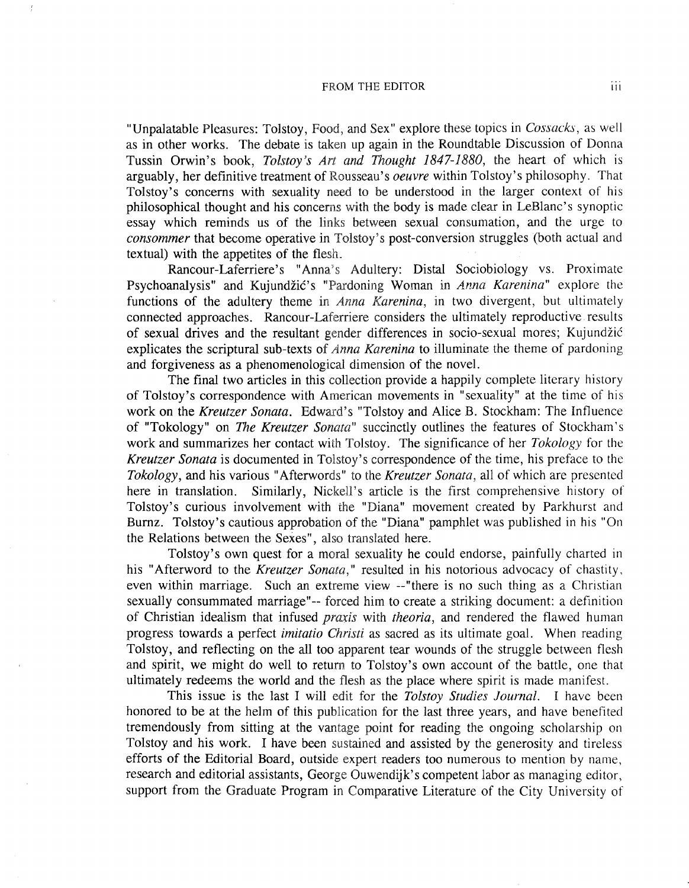## FROM THE EDITOR **III**

 $\frac{r}{t}$ 

"Unpalatable Pleasures: Tolstoy, Food, and Sex" explore these topics in Cossacks, as well as in other works. The debate is taken up again in the Roundtable Discussion of Donna Tussin Orwin's book, Tolstoy's Art and Thought 1847-1880, the heart of which is arguably, her definitive treatment of Rousseau's *oeuvre* within Tolstoy's philosophy. That Tolstoy's concerns with sexuality need to be understood in the larger context of his philosophical thought and his concerns with the body is made clear in LeBlanc's synoptic essay which reminds us of the links between sexual consumation, and the urge to consommer that become operative in Tolstoy's post-conversion struggles (both actual and textual) with the appetites of the flesh.

Rancour-Laferriere's "Anna's Adultery: Distal Sociobiology vs. Proximate Psychoanalysis" and Kujundžić's "Pardoning Woman in Anna Karenina" explore the functions of the adultery theme in *Anna Karenina*, in two divergent, but ultimately connected approaches. Rancour-Laferriere considers the ultimately reproductive results of sexual drives and the resultant gender differences in socio-sexual mores; Kujundžić explicates the scriptural sub-texts of *Anna Karenina* to illuminate the theme of pardoning and forgiveness as a phenomenological dimension of the novel.

The final two articles in this collection provide a happily complete literary history of Tolstoy's correspondence with American movements in "sexuality" at the time of his work on the Kreutzer Sonata. Edward's "Tolstoy and Alice B. Stockham: The Influence of "Tokology" on *The Kreutzer Sonata*" succinctly outlines the features of Stockham's work and summarizes her contact with Tolstoy. The significance of her *Tokology* for the *Kreutzer Sonata* is documented in Tolstoy's correspondence of the time, his preface to the *Tokology*, and his various "Afterwords" to the *Kreutzer Sonata*, all of which are presented here in translation. Similarly, Nickell's article is the first comprehensive history of Tolstoy's curious involvement with the "Diana" movement created by Parkhurst and Burnz. Tolstoy's cautious approbation of the "Diana" pamphlet was published in his "On the Relations between the Sexes", also translated here.

Tolstoy's own quest for a moral sexuality he could endorse, painfully charted in his "Afterword to the Kreutzer Sonata," resulted in his notorious advocacy of chastity, even within marriage. Such an extreme view --"there is no such thing as a Christian sexually consummated marriage"-- forced him to create a striking document: a definition of Christian idealism that *infused praxis* with *theoria*, and rendered the flawed human progress towards a perfect *imitatio Christi* as sacred as its ultimate goal. When reading Tolstoy, and reflecting on the all too apparent tear wounds of the struggle between flesh and spirit, we might do well to return to Tolstoy's own account of the battle, one that ultimately redeems the world and the flesh as the place where spirit is made manifest.

This issue is the *Tolstoy Studies Journal.* I have been honored to be at the helm of this publication for the last three years, and have benefited tremendously from sitting at the vantage point for reading the ongoing scholarship on Tolstoy and his work. I have been sustained and assisted by the generosity and tireless efforts of the Editorial Board, outside expert readers too numerous to mention by name, research and editorial assistants, George Ouwendijk's competent labor as managing editor, support from the Graduate Program in Comparative Literature of the City University of